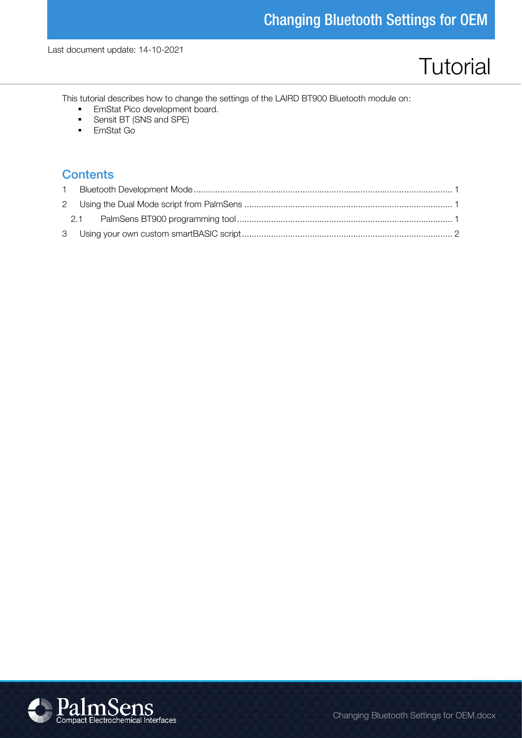# **Tutorial**

This tutorial describes how to change the settings of the LAIRD BT900 Bluetooth module on:

- **EmStat Pico development board.**
- Sensit BT (SNS and SPE)
- EmStat Go

#### **Contents**

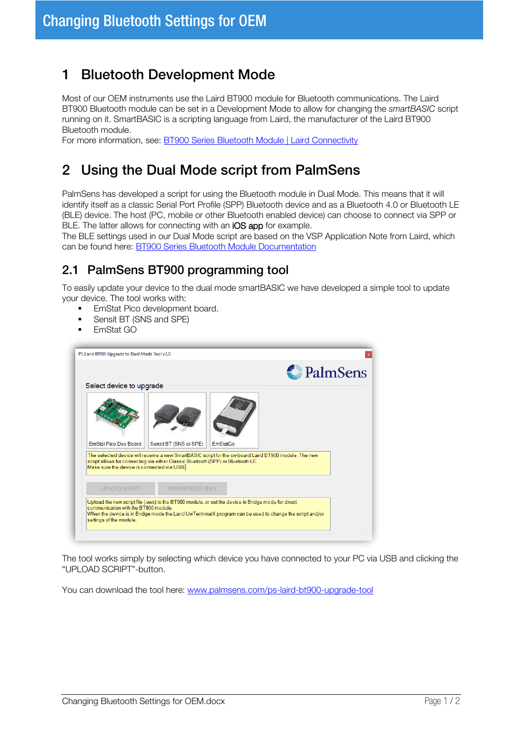## 1 Bluetooth Development Mode

Most of our OEM instruments use the Laird BT900 module for Bluetooth communications. The Laird BT900 Bluetooth module can be set in a Development Mode to allow for changing the smartBASIC script running on it. SmartBASIC is a scripting language from Laird, the manufacturer of the Laird BT900 Bluetooth module.

For more information, see: [BT900 Series Bluetooth Module | Laird Connectivity](https://www.lairdconnect.com/wireless-modules/bluetooth-modules/bluetooth-42-and-40-modules/bt900-series-bluetooth-module)

# 2 Using the Dual Mode script from PalmSens

PalmSens has developed a script for using the Bluetooth module in Dual Mode. This means that it will identify itself as a classic Serial Port Profile (SPP) Bluetooth device and as a Bluetooth 4.0 or Bluetooth LE (BLE) device. The host (PC, mobile or other Bluetooth enabled device) can choose to connect via SPP or BLE. The latter allows for connecting with an iOS app for example.

The BLE settings used in our Dual Mode script are based on the VSP Application Note from Laird, which can be found here: [BT900 Series Bluetooth Module Documentation](https://www.lairdconnect.com/wireless-modules/bluetooth-modules/bluetooth-42-and-40-modules/bt900-series-bluetooth-module#documentation)

#### 2.1 PalmSens BT900 programming tool

To easily update your device to the dual mode smartBASIC we have developed a simple tool to update your device. The tool works with:

- EmStat Pico development board.
- Sensit BT (SNS and SPE)
- EmStat GO

| Select device to upgrade                                                                                                       |                        |          |                                                                                                       |  |  |  |  |
|--------------------------------------------------------------------------------------------------------------------------------|------------------------|----------|-------------------------------------------------------------------------------------------------------|--|--|--|--|
| <b>EmStat Pico Dev Board</b>                                                                                                   | Sensit BT (SNS or SPE) | EmStatGo |                                                                                                       |  |  |  |  |
|                                                                                                                                |                        |          | The selected device will receive a new SmartBASIC script for the on-board Laird BT900 module. The new |  |  |  |  |
| script allows for connecting via either Classic Bluetooth (SPP) or Bluetooth LE.<br>Make sure the device is connected via USB. |                        |          |                                                                                                       |  |  |  |  |
| <b>UPLOAD SCRIPT</b>                                                                                                           | OPEN BRIDGE ONLY       |          |                                                                                                       |  |  |  |  |

The tool works simply by selecting which device you have connected to your PC via USB and clicking the "UPLOAD SCRIPT"-button.

You can download the tool here: [www.palmsens.com/ps-laird-bt900-upgrade-tool](https://www.palmsens.com/ps-laird-bt900-upgrade-tool)